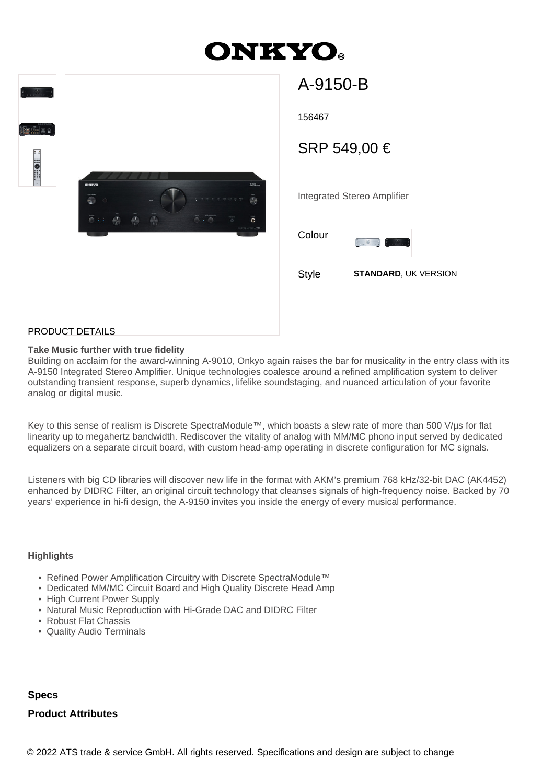# **ONKYO.**



| 156467                      |                                                 |  |
|-----------------------------|-------------------------------------------------|--|
| SRP 549,00 €                |                                                 |  |
|                             |                                                 |  |
| Integrated Stereo Amplifier |                                                 |  |
| Colour                      | $\frac{1}{2} \cos \theta_{\text{max}}$<br>1.122 |  |
| Style                       | <b>STANDARD, UK VERSION</b>                     |  |

A-9150-B

## PRODUCT DETAILS

## **Take Music further with true fidelity**

Building on acclaim for the award-winning A-9010, Onkyo again raises the bar for musicality in the entry class with its A-9150 Integrated Stereo Amplifier. Unique technologies coalesce around a refined amplification system to deliver outstanding transient response, superb dynamics, lifelike soundstaging, and nuanced articulation of your favorite analog or digital music.

Key to this sense of realism is Discrete SpectraModule™, which boasts a slew rate of more than 500 V/µs for flat linearity up to megahertz bandwidth. Rediscover the vitality of analog with MM/MC phono input served by dedicated equalizers on a separate circuit board, with custom head-amp operating in discrete configuration for MC signals.

Listeners with big CD libraries will discover new life in the format with AKM's premium 768 kHz/32-bit DAC (AK4452) enhanced by DIDRC Filter, an original circuit technology that cleanses signals of high-frequency noise. Backed by 70 years' experience in hi-fi design, the A-9150 invites you inside the energy of every musical performance.

#### **Highlights**

- Refined Power Amplification Circuitry with Discrete SpectraModule™
- Dedicated MM/MC Circuit Board and High Quality Discrete Head Amp
- High Current Power Supply
- Natural Music Reproduction with Hi-Grade DAC and DIDRC Filter
- Robust Flat Chassis
- Quality Audio Terminals

# **Specs**

#### **Product Attributes**